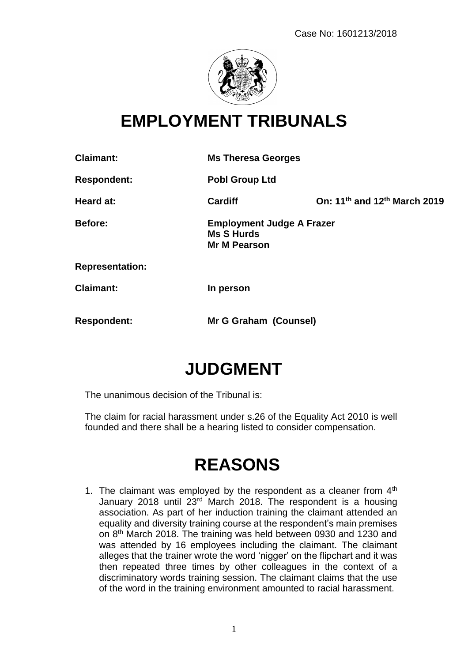

## **EMPLOYMENT TRIBUNALS**

**Claimant: Ms Theresa Georges Respondent: Pobl Group Ltd Heard at: Cardiff On: 11th and 12th March 2019 Before: Employment Judge A Frazer Ms S Hurds Mr M Pearson Representation: Claimant: In person Respondent: Mr G Graham (Counsel)**

# **JUDGMENT**

The unanimous decision of the Tribunal is:

The claim for racial harassment under s.26 of the Equality Act 2010 is well founded and there shall be a hearing listed to consider compensation.

## **REASONS**

1. The claimant was employed by the respondent as a cleaner from  $4<sup>th</sup>$ January 2018 until 23<sup>rd</sup> March 2018. The respondent is a housing association. As part of her induction training the claimant attended an equality and diversity training course at the respondent's main premises on 8th March 2018. The training was held between 0930 and 1230 and was attended by 16 employees including the claimant. The claimant alleges that the trainer wrote the word 'nigger' on the flipchart and it was then repeated three times by other colleagues in the context of a discriminatory words training session. The claimant claims that the use of the word in the training environment amounted to racial harassment.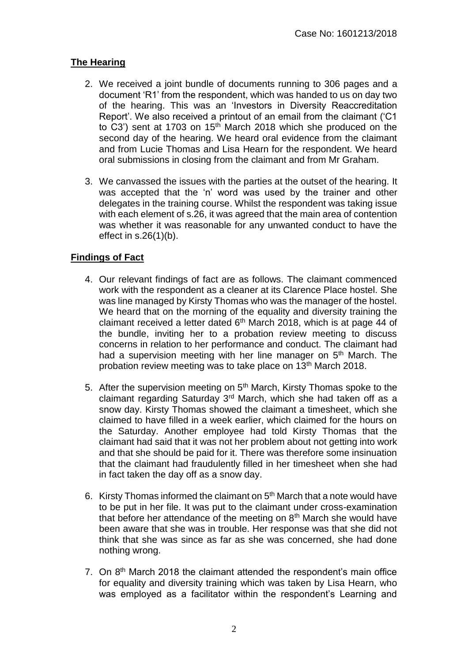### **The Hearing**

- 2. We received a joint bundle of documents running to 306 pages and a document 'R1' from the respondent, which was handed to us on day two of the hearing. This was an 'Investors in Diversity Reaccreditation Report'. We also received a printout of an email from the claimant ('C1 to C3') sent at 1703 on 15<sup>th</sup> March 2018 which she produced on the second day of the hearing. We heard oral evidence from the claimant and from Lucie Thomas and Lisa Hearn for the respondent. We heard oral submissions in closing from the claimant and from Mr Graham.
- 3. We canvassed the issues with the parties at the outset of the hearing. It was accepted that the 'n' word was used by the trainer and other delegates in the training course. Whilst the respondent was taking issue with each element of s.26, it was agreed that the main area of contention was whether it was reasonable for any unwanted conduct to have the effect in s.26(1)(b).

### **Findings of Fact**

- 4. Our relevant findings of fact are as follows. The claimant commenced work with the respondent as a cleaner at its Clarence Place hostel. She was line managed by Kirsty Thomas who was the manager of the hostel. We heard that on the morning of the equality and diversity training the claimant received a letter dated  $6<sup>th</sup>$  March 2018, which is at page 44 of the bundle, inviting her to a probation review meeting to discuss concerns in relation to her performance and conduct. The claimant had had a supervision meeting with her line manager on 5<sup>th</sup> March. The probation review meeting was to take place on 13<sup>th</sup> March 2018.
- 5. After the supervision meeting on  $5<sup>th</sup>$  March, Kirsty Thomas spoke to the claimant regarding Saturday 3rd March, which she had taken off as a snow day. Kirsty Thomas showed the claimant a timesheet, which she claimed to have filled in a week earlier, which claimed for the hours on the Saturday. Another employee had told Kirsty Thomas that the claimant had said that it was not her problem about not getting into work and that she should be paid for it. There was therefore some insinuation that the claimant had fraudulently filled in her timesheet when she had in fact taken the day off as a snow day.
- 6. Kirsty Thomas informed the claimant on  $5<sup>th</sup>$  March that a note would have to be put in her file. It was put to the claimant under cross-examination that before her attendance of the meeting on  $8<sup>th</sup>$  March she would have been aware that she was in trouble. Her response was that she did not think that she was since as far as she was concerned, she had done nothing wrong.
- 7. On 8<sup>th</sup> March 2018 the claimant attended the respondent's main office for equality and diversity training which was taken by Lisa Hearn, who was employed as a facilitator within the respondent's Learning and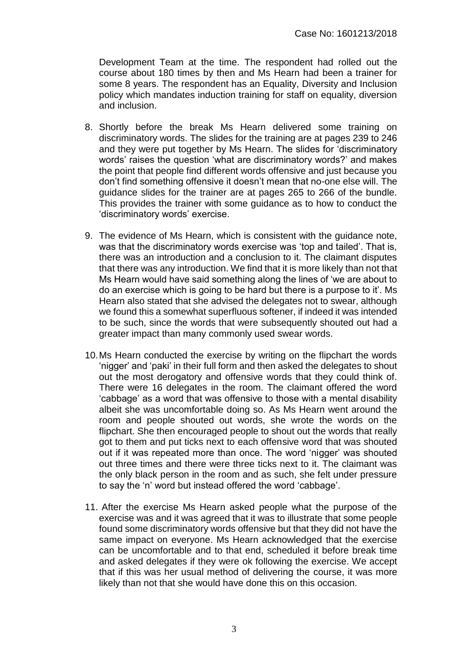Development Team at the time. The respondent had rolled out the course about 180 times by then and Ms Hearn had been a trainer for some 8 years. The respondent has an Equality, Diversity and Inclusion policy which mandates induction training for staff on equality, diversion and inclusion.

- 8. Shortly before the break Ms Hearn delivered some training on discriminatory words. The slides for the training are at pages 239 to 246 and they were put together by Ms Hearn. The slides for 'discriminatory words' raises the question 'what are discriminatory words?' and makes the point that people find different words offensive and just because you don't find something offensive it doesn't mean that no-one else will. The guidance slides for the trainer are at pages 265 to 266 of the bundle. This provides the trainer with some guidance as to how to conduct the 'discriminatory words' exercise.
- 9. The evidence of Ms Hearn, which is consistent with the guidance note, was that the discriminatory words exercise was 'top and tailed'. That is, there was an introduction and a conclusion to it. The claimant disputes that there was any introduction. We find that it is more likely than not that Ms Hearn would have said something along the lines of 'we are about to do an exercise which is going to be hard but there is a purpose to it'. Ms Hearn also stated that she advised the delegates not to swear, although we found this a somewhat superfluous softener, if indeed it was intended to be such, since the words that were subsequently shouted out had a greater impact than many commonly used swear words.
- 10.Ms Hearn conducted the exercise by writing on the flipchart the words 'nigger' and 'paki' in their full form and then asked the delegates to shout out the most derogatory and offensive words that they could think of. There were 16 delegates in the room. The claimant offered the word 'cabbage' as a word that was offensive to those with a mental disability albeit she was uncomfortable doing so. As Ms Hearn went around the room and people shouted out words, she wrote the words on the flipchart. She then encouraged people to shout out the words that really got to them and put ticks next to each offensive word that was shouted out if it was repeated more than once. The word 'nigger' was shouted out three times and there were three ticks next to it. The claimant was the only black person in the room and as such, she felt under pressure to say the 'n' word but instead offered the word 'cabbage'.
- 11. After the exercise Ms Hearn asked people what the purpose of the exercise was and it was agreed that it was to illustrate that some people found some discriminatory words offensive but that they did not have the same impact on everyone. Ms Hearn acknowledged that the exercise can be uncomfortable and to that end, scheduled it before break time and asked delegates if they were ok following the exercise. We accept that if this was her usual method of delivering the course, it was more likely than not that she would have done this on this occasion.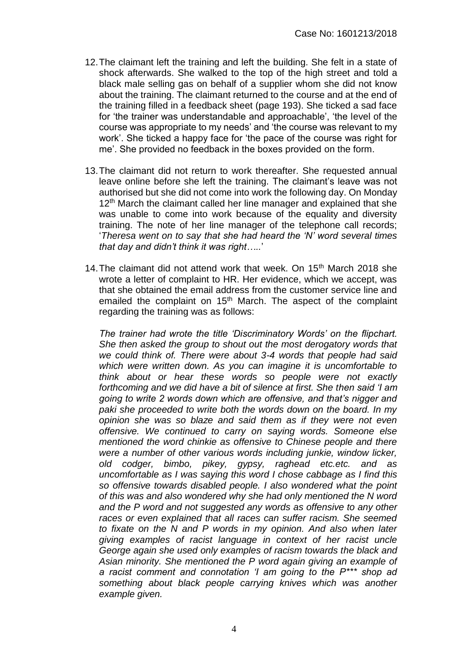- 12.The claimant left the training and left the building. She felt in a state of shock afterwards. She walked to the top of the high street and told a black male selling gas on behalf of a supplier whom she did not know about the training. The claimant returned to the course and at the end of the training filled in a feedback sheet (page 193). She ticked a sad face for 'the trainer was understandable and approachable', 'the level of the course was appropriate to my needs' and 'the course was relevant to my work'. She ticked a happy face for 'the pace of the course was right for me'. She provided no feedback in the boxes provided on the form.
- 13.The claimant did not return to work thereafter. She requested annual leave online before she left the training. The claimant's leave was not authorised but she did not come into work the following day. On Monday 12<sup>th</sup> March the claimant called her line manager and explained that she was unable to come into work because of the equality and diversity training. The note of her line manager of the telephone call records; '*Theresa went on to say that she had heard the 'N' word several times that day and didn't think it was right…..*'
- 14. The claimant did not attend work that week. On 15<sup>th</sup> March 2018 she wrote a letter of complaint to HR. Her evidence, which we accept, was that she obtained the email address from the customer service line and emailed the complaint on 15<sup>th</sup> March. The aspect of the complaint regarding the training was as follows:

*The trainer had wrote the title 'Discriminatory Words' on the flipchart. She then asked the group to shout out the most derogatory words that we could think of. There were about 3-4 words that people had said which were written down. As you can imagine it is uncomfortable to think about or hear these words so people were not exactly forthcoming and we did have a bit of silence at first. She then said 'I am going to write 2 words down which are offensive, and that's nigger and paki she proceeded to write both the words down on the board. In my opinion she was so blaze and said them as if they were not even offensive. We continued to carry on saying words. Someone else mentioned the word chinkie as offensive to Chinese people and there were a number of other various words including junkie, window licker, old codger, bimbo, pikey, gypsy, raghead etc.etc. and as uncomfortable as I was saying this word I chose cabbage as I find this so offensive towards disabled people. I also wondered what the point of this was and also wondered why she had only mentioned the N word and the P word and not suggested any words as offensive to any other races or even explained that all races can suffer racism. She seemed to fixate on the N and P words in my opinion. And also when later giving examples of racist language in context of her racist uncle George again she used only examples of racism towards the black and Asian minority. She mentioned the P word again giving an example of a racist comment and connotation 'I am going to the P\*\*\* shop ad something about black people carrying knives which was another example given.*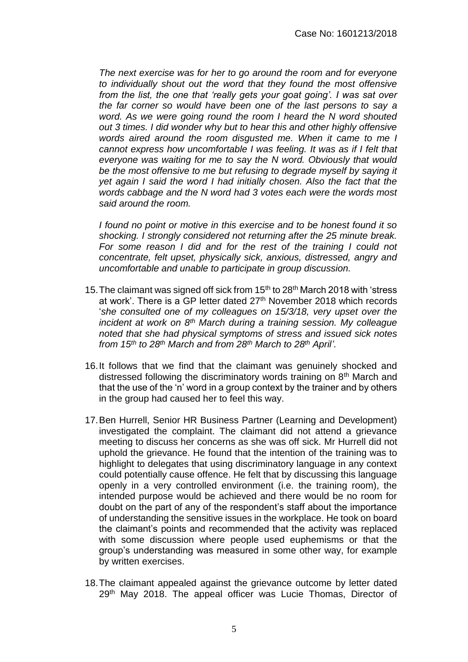*The next exercise was for her to go around the room and for everyone to individually shout out the word that they found the most offensive from the list, the one that 'really gets your goat going'. I was sat over the far corner so would have been one of the last persons to say a word. As we were going round the room I heard the N word shouted out 3 times. I did wonder why but to hear this and other highly offensive words aired around the room disgusted me. When it came to me I cannot express how uncomfortable I was feeling. It was as if I felt that everyone was waiting for me to say the N word. Obviously that would be the most offensive to me but refusing to degrade myself by saying it yet again I said the word I had initially chosen. Also the fact that the words cabbage and the N word had 3 votes each were the words most said around the room.*

*I found no point or motive in this exercise and to be honest found it so shocking. I strongly considered not returning after the 25 minute break. For some reason I did and for the rest of the training I could not concentrate, felt upset, physically sick, anxious, distressed, angry and uncomfortable and unable to participate in group discussion.* 

- 15. The claimant was signed off sick from 15<sup>th</sup> to 28<sup>th</sup> March 2018 with 'stress at work'. There is a GP letter dated 27<sup>th</sup> November 2018 which records '*she consulted one of my colleagues on 15/3/18, very upset over the incident at work on 8th March during a training session. My colleague noted that she had physical symptoms of stress and issued sick notes from 15th to 28th March and from 28th March to 28th April'*.
- 16.It follows that we find that the claimant was genuinely shocked and distressed following the discriminatory words training on 8<sup>th</sup> March and that the use of the 'n' word in a group context by the trainer and by others in the group had caused her to feel this way.
- 17.Ben Hurrell, Senior HR Business Partner (Learning and Development) investigated the complaint. The claimant did not attend a grievance meeting to discuss her concerns as she was off sick. Mr Hurrell did not uphold the grievance. He found that the intention of the training was to highlight to delegates that using discriminatory language in any context could potentially cause offence. He felt that by discussing this language openly in a very controlled environment (i.e. the training room), the intended purpose would be achieved and there would be no room for doubt on the part of any of the respondent's staff about the importance of understanding the sensitive issues in the workplace. He took on board the claimant's points and recommended that the activity was replaced with some discussion where people used euphemisms or that the group's understanding was measured in some other way, for example by written exercises.
- 18.The claimant appealed against the grievance outcome by letter dated 29<sup>th</sup> May 2018. The appeal officer was Lucie Thomas, Director of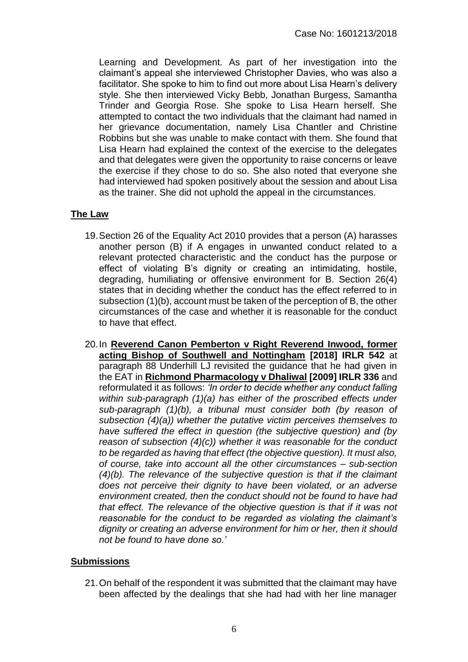Learning and Development. As part of her investigation into the claimant's appeal she interviewed Christopher Davies, who was also a facilitator. She spoke to him to find out more about Lisa Hearn's delivery style. She then interviewed Vicky Bebb, Jonathan Burgess, Samantha Trinder and Georgia Rose. She spoke to Lisa Hearn herself. She attempted to contact the two individuals that the claimant had named in her grievance documentation, namely Lisa Chantler and Christine Robbins but she was unable to make contact with them. She found that Lisa Hearn had explained the context of the exercise to the delegates and that delegates were given the opportunity to raise concerns or leave the exercise if they chose to do so. She also noted that everyone she had interviewed had spoken positively about the session and about Lisa as the trainer. She did not uphold the appeal in the circumstances.

#### **The Law**

- 19.Section 26 of the Equality Act 2010 provides that a person (A) harasses another person (B) if A engages in unwanted conduct related to a relevant protected characteristic and the conduct has the purpose or effect of violating B's dignity or creating an intimidating, hostile, degrading, humiliating or offensive environment for B. Section 26(4) states that in deciding whether the conduct has the effect referred to in subsection (1)(b), account must be taken of the perception of B, the other circumstances of the case and whether it is reasonable for the conduct to have that effect.
- 20.In **Reverend Canon Pemberton v Right Reverend Inwood, former acting Bishop of Southwell and Nottingham [2018] IRLR 542** at paragraph 88 Underhill LJ revisited the guidance that he had given in the EAT in **Richmond Pharmacology v Dhaliwal [2009] IRLR 336** and reformulated it as follows: *'In order to decide whether any conduct falling within sub-paragraph (1)(a) has either of the proscribed effects under sub-paragraph (1)(b), a tribunal must consider both (by reason of subsection (4)(a)) whether the putative victim perceives themselves to have suffered the effect in question (the subjective question) and (by reason of subsection (4)(c)) whether it was reasonable for the conduct to be regarded as having that effect (the objective question). It must also, of course, take into account all the other circumstances – sub-section (4)(b). The relevance of the subjective question is that if the claimant does not perceive their dignity to have been violated, or an adverse environment created, then the conduct should not be found to have had that effect. The relevance of the objective question is that if it was not reasonable for the conduct to be regarded as violating the claimant's dignity or creating an adverse environment for him or her, then it should not be found to have done so.'*

### **Submissions**

21.On behalf of the respondent it was submitted that the claimant may have been affected by the dealings that she had had with her line manager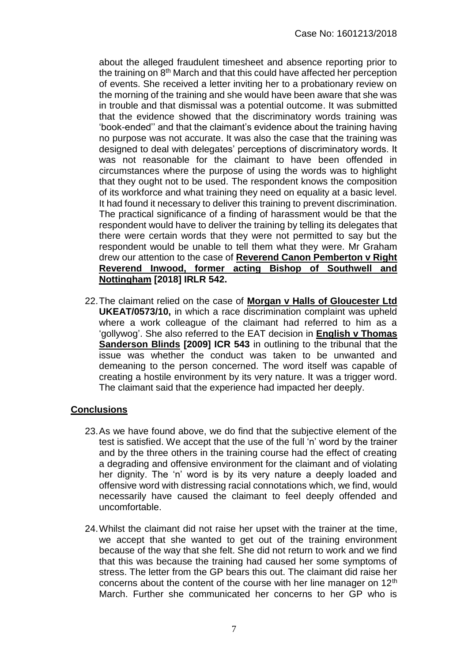about the alleged fraudulent timesheet and absence reporting prior to the training on 8<sup>th</sup> March and that this could have affected her perception of events. She received a letter inviting her to a probationary review on the morning of the training and she would have been aware that she was in trouble and that dismissal was a potential outcome. It was submitted that the evidence showed that the discriminatory words training was 'book-ended'' and that the claimant's evidence about the training having no purpose was not accurate. It was also the case that the training was designed to deal with delegates' perceptions of discriminatory words. It was not reasonable for the claimant to have been offended in circumstances where the purpose of using the words was to highlight that they ought not to be used. The respondent knows the composition of its workforce and what training they need on equality at a basic level. It had found it necessary to deliver this training to prevent discrimination. The practical significance of a finding of harassment would be that the respondent would have to deliver the training by telling its delegates that there were certain words that they were not permitted to say but the respondent would be unable to tell them what they were. Mr Graham drew our attention to the case of **Reverend Canon Pemberton v Right Reverend Inwood, former acting Bishop of Southwell and Nottingham [2018] IRLR 542.** 

22.The claimant relied on the case of **Morgan v Halls of Gloucester Ltd UKEAT/0573/10,** in which a race discrimination complaint was upheld where a work colleague of the claimant had referred to him as a 'gollywog'. She also referred to the EAT decision in **English v Thomas Sanderson Blinds [2009] ICR 543** in outlining to the tribunal that the issue was whether the conduct was taken to be unwanted and demeaning to the person concerned. The word itself was capable of creating a hostile environment by its very nature. It was a trigger word. The claimant said that the experience had impacted her deeply.

### **Conclusions**

- 23.As we have found above, we do find that the subjective element of the test is satisfied. We accept that the use of the full 'n' word by the trainer and by the three others in the training course had the effect of creating a degrading and offensive environment for the claimant and of violating her dignity. The 'n' word is by its very nature a deeply loaded and offensive word with distressing racial connotations which, we find, would necessarily have caused the claimant to feel deeply offended and uncomfortable.
- 24.Whilst the claimant did not raise her upset with the trainer at the time, we accept that she wanted to get out of the training environment because of the way that she felt. She did not return to work and we find that this was because the training had caused her some symptoms of stress. The letter from the GP bears this out. The claimant did raise her concerns about the content of the course with her line manager on 12<sup>th</sup> March. Further she communicated her concerns to her GP who is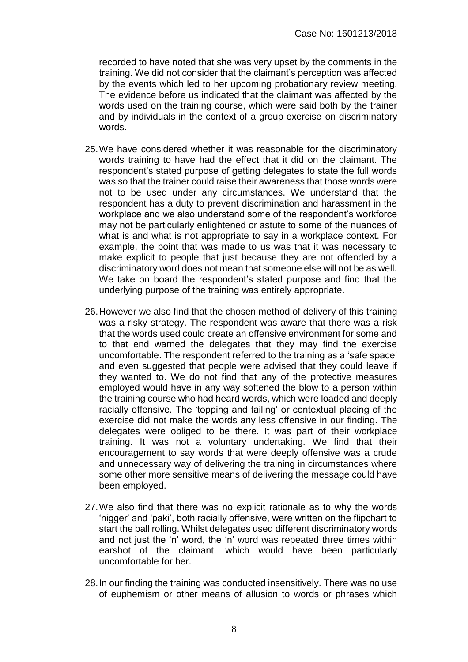recorded to have noted that she was very upset by the comments in the training. We did not consider that the claimant's perception was affected by the events which led to her upcoming probationary review meeting. The evidence before us indicated that the claimant was affected by the words used on the training course, which were said both by the trainer and by individuals in the context of a group exercise on discriminatory words.

- 25.We have considered whether it was reasonable for the discriminatory words training to have had the effect that it did on the claimant. The respondent's stated purpose of getting delegates to state the full words was so that the trainer could raise their awareness that those words were not to be used under any circumstances. We understand that the respondent has a duty to prevent discrimination and harassment in the workplace and we also understand some of the respondent's workforce may not be particularly enlightened or astute to some of the nuances of what is and what is not appropriate to say in a workplace context. For example, the point that was made to us was that it was necessary to make explicit to people that just because they are not offended by a discriminatory word does not mean that someone else will not be as well. We take on board the respondent's stated purpose and find that the underlying purpose of the training was entirely appropriate.
- 26.However we also find that the chosen method of delivery of this training was a risky strategy. The respondent was aware that there was a risk that the words used could create an offensive environment for some and to that end warned the delegates that they may find the exercise uncomfortable. The respondent referred to the training as a 'safe space' and even suggested that people were advised that they could leave if they wanted to. We do not find that any of the protective measures employed would have in any way softened the blow to a person within the training course who had heard words, which were loaded and deeply racially offensive. The 'topping and tailing' or contextual placing of the exercise did not make the words any less offensive in our finding. The delegates were obliged to be there. It was part of their workplace training. It was not a voluntary undertaking. We find that their encouragement to say words that were deeply offensive was a crude and unnecessary way of delivering the training in circumstances where some other more sensitive means of delivering the message could have been employed.
- 27.We also find that there was no explicit rationale as to why the words 'nigger' and 'paki', both racially offensive, were written on the flipchart to start the ball rolling. Whilst delegates used different discriminatory words and not just the 'n' word, the 'n' word was repeated three times within earshot of the claimant, which would have been particularly uncomfortable for her.
- 28.In our finding the training was conducted insensitively. There was no use of euphemism or other means of allusion to words or phrases which